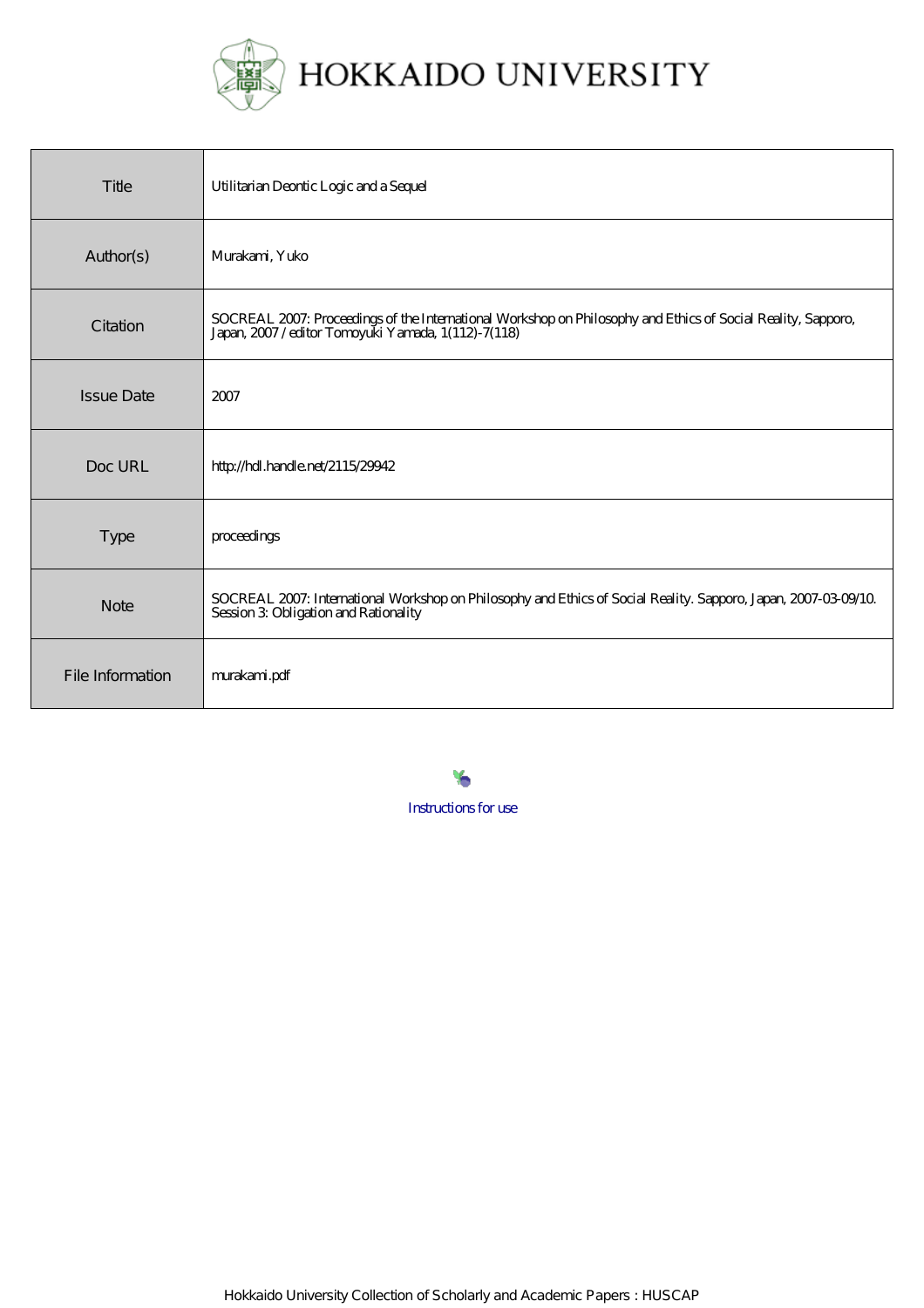

| Title             | Utilitarian Deontic Logic and a Sequel                                                                                                                         |
|-------------------|----------------------------------------------------------------------------------------------------------------------------------------------------------------|
| Author(s)         | Murakami, Yuko                                                                                                                                                 |
| Citation          | SOCREAL 2007: Proceedings of the International Workshop on Philosophy and Ethics of Social Reality, Sapporo, Japan, 2007/editor Tomoyuki Yamada, 1(112)-7(118) |
| <b>Issue Date</b> | 2007                                                                                                                                                           |
| Doc URL           | http://hdl.handle.net/2115/29942                                                                                                                               |
| <b>Type</b>       | proceedings                                                                                                                                                    |
| <b>Note</b>       | SOCREAL 2007: International Workshop on Philosophy and Ethics of Social Reality. Sapporo, Japan, 2007-03-09/10<br>Session 3 Obligation and Rationality         |
| File Information  | murakami.pdf                                                                                                                                                   |

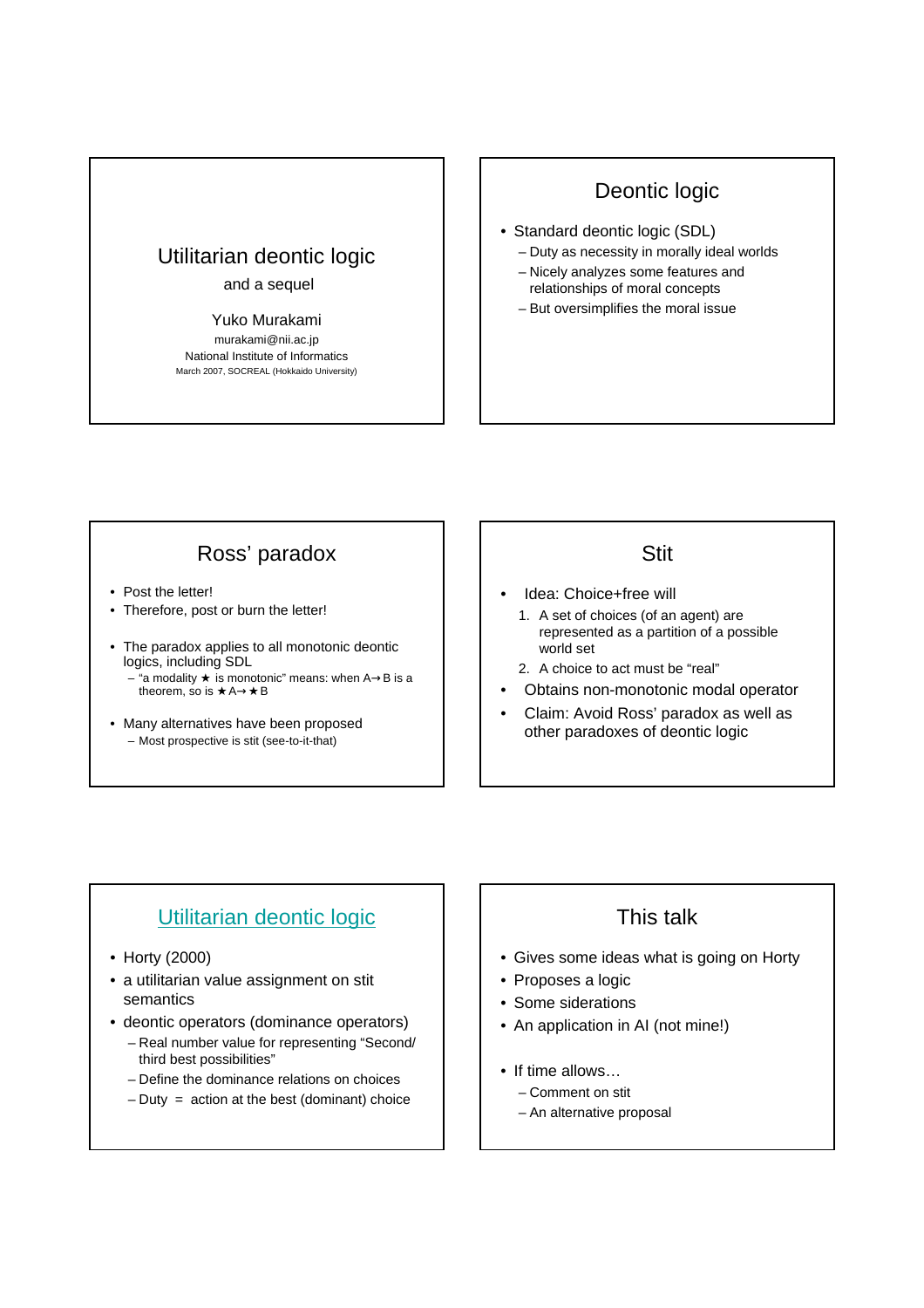## Utilitarian deontic logic

#### and a sequel

#### Yuko Murakami

murakami@nii.ac.jp National Institute of Informatics March 2007, SOCREAL (Hokkaido University)

### Deontic logic

- Standard deontic logic (SDL)
	- Duty as necessity in morally ideal worlds
	- Nicely analyzes some features and relationships of moral concepts
	- But oversimplifies the moral issue

### Ross' paradox

- Post the letter!
- Therefore, post or burn the letter!
- The paradox applies to all monotonic deontic logics, including SDL
	- "a modality is monotonic" means: when A B is a theorem, so is A→★B
- Many alternatives have been proposed – Most prospective is stit (see-to-it-that)

#### Stit

- Idea: Choice+free will
	- 1. A set of choices (of an agent) are represented as a partition of a possible world set
	- 2. A choice to act must be "real"
- Obtains non-monotonic modal operator
- Claim: Avoid Ross' paradox as well as other paradoxes of deontic logic

### Utilitarian deontic logic

- Horty (2000)
- a utilitarian value assignment on stit semantics
- deontic operators (dominance operators)
	- Real number value for representing "Second/ third best possibilities"
	- Define the dominance relations on choices
	- $-$  Duty = action at the best (dominant) choice

### This talk

- Gives some ideas what is going on Horty
- Proposes a logic
- Some siderations
- An application in AI (not mine!)
- If time allows...
	- Comment on stit
	- An alternative proposal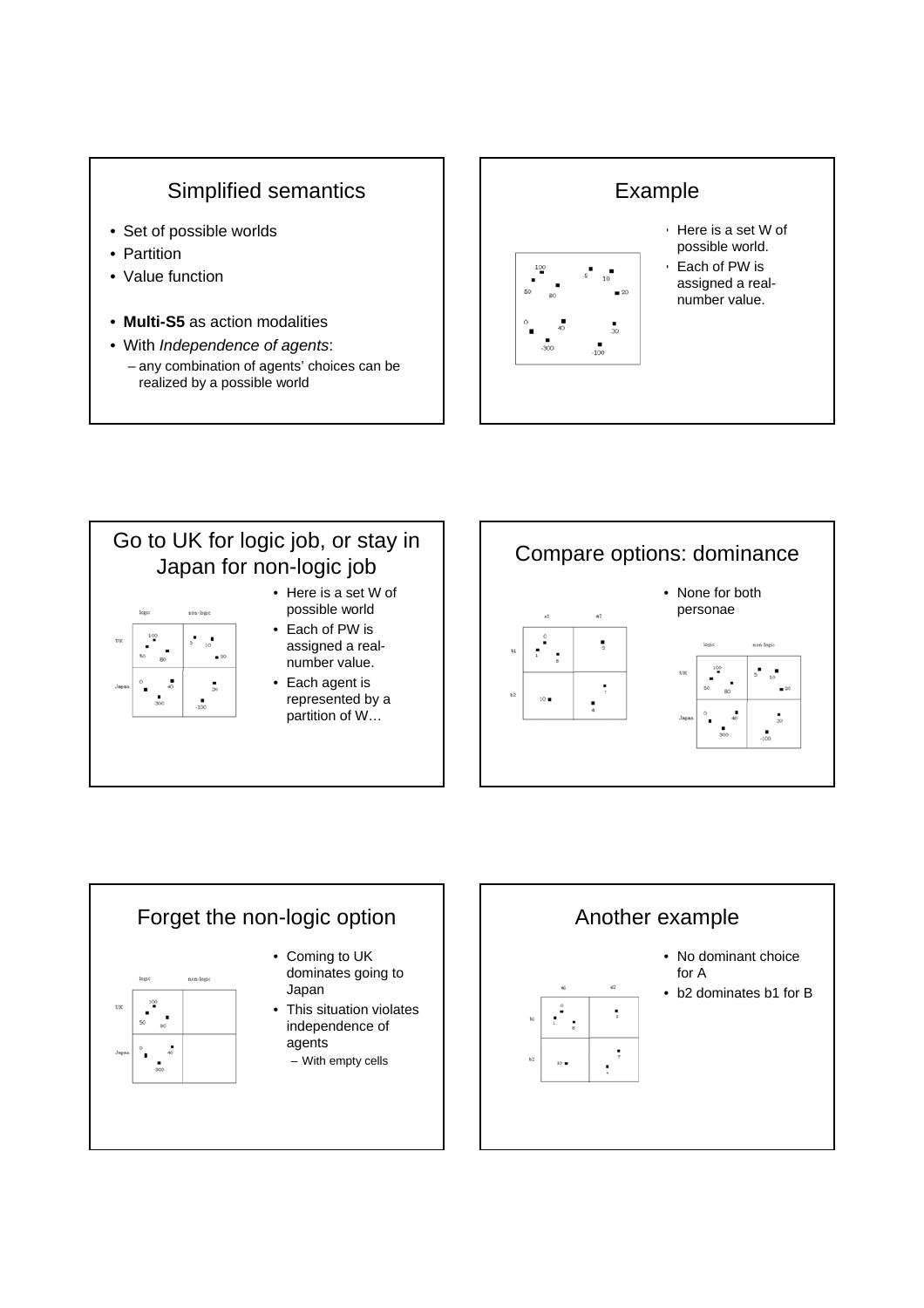## Simplified semantics

- Set of possible worlds
- Partition
- Value function
- **Multi-S5** as action modalities
- With *Independence of agents*: – any combination of agents' choices can be realized by a possible world



#### Go to UK for logic job, or stay in Japan for non-logic job • Here is a set W of possible world non-logi • Each of PW is  $10<sup>′</sup>$ þ,  $\overline{\phantom{0}}$ assigned a real- $\blacksquare$  20 number value. • Each agent is  $\frac{1}{30}$ represented by a  $\frac{1}{2}$ partition of W…





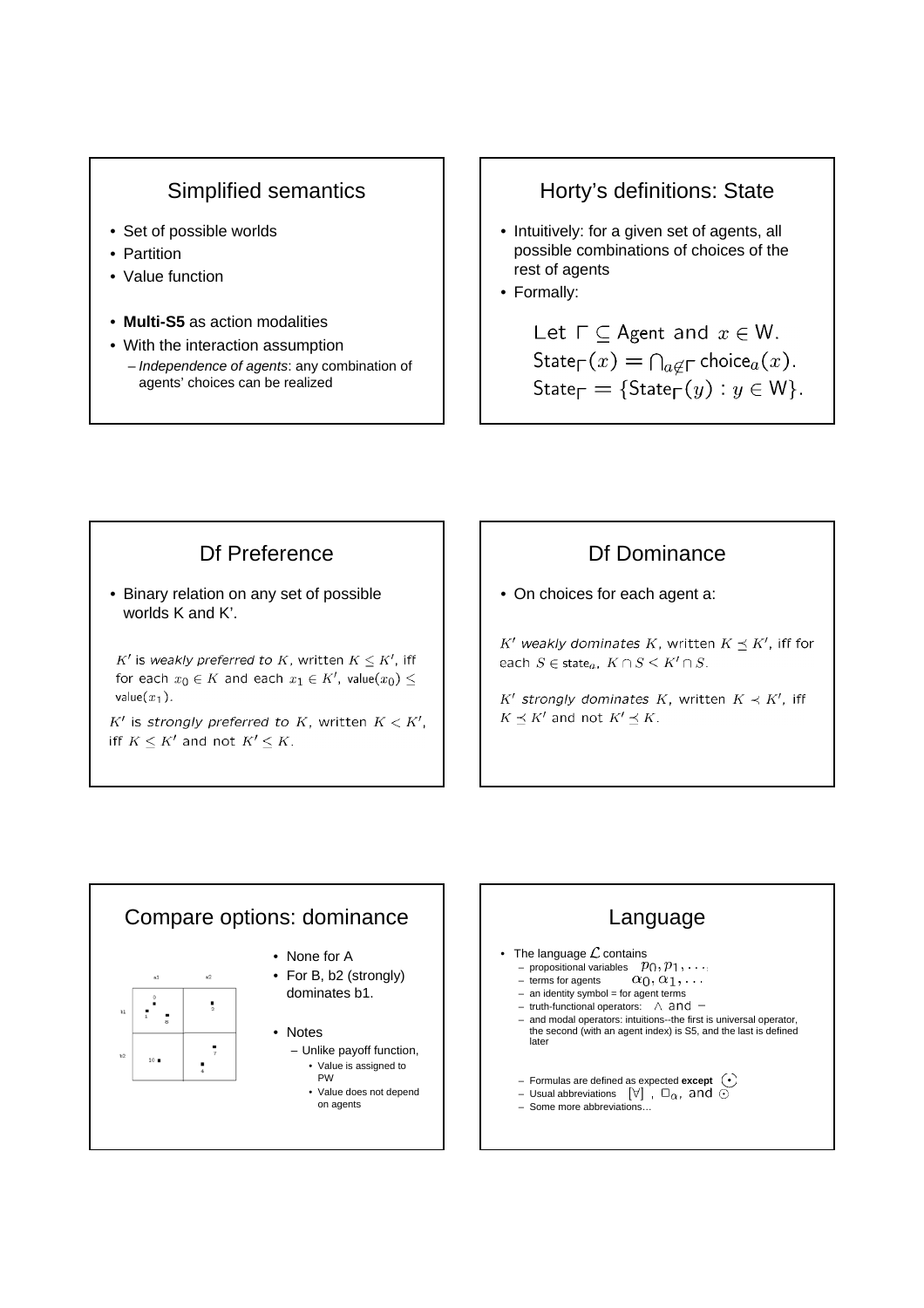### Simplified semantics

- Set of possible worlds
- Partition
- Value function
- **Multi-S5** as action modalities
- With the interaction assumption – *Independence of agents*: any combination of agents' choices can be realized

### Horty's definitions: State

- Intuitively: for a given set of agents, all possible combinations of choices of the rest of agents
- Formally:

Let  $\Gamma \subset$  Agent and  $x \in W$ . State<sub> $\Gamma(x) = \bigcap_{a \notin \Gamma}$  choice $a(x)$ .</sub> State<sub> $\Gamma$ </sub> = {State<sub> $\Gamma$ </sub> $(y)$  :  $y \in W$  }.

### Df Preference

• Binary relation on any set of possible worlds K and K'.

 $K'$  is weakly preferred to K, written  $K \leq K'$ , iff for each  $x_0 \in K$  and each  $x_1 \in K'$ , value $(x_0)$  < value $(x_1)$ .

 $K'$  is strongly preferred to K, written  $K < K'$ , iff  $K \leq K'$  and not  $K' \leq K$ .

### Df Dominance

• On choices for each agent a:

 $K'$  weakly dominates K, written  $K \prec K'$ , iff for each  $S \in \text{state}_a$ ,  $K \cap S \leq K' \cap S$ .

 $K'$  strongly dominates K, written  $K \prec K'$ , iff  $K \preceq K'$  and not  $K' \preceq K$ .



# Language

- The language  $\mathcal L$  contains
	- propositional variables
	- terms for agents  $-$  an identity symbol = for agent terms
	- truth-functional operators:  $\wedge$  and  $\neg$
	- and modal operators: intuitions--the first is universal operator, the second (with an agent index) is S5, and the last is defined later
	- Formulas are defined as expected **except**
	- Usual abbreviations  $[\forall]$ ,  $\Box_{\alpha}$ , and  $\odot$
	- Some more abbreviations…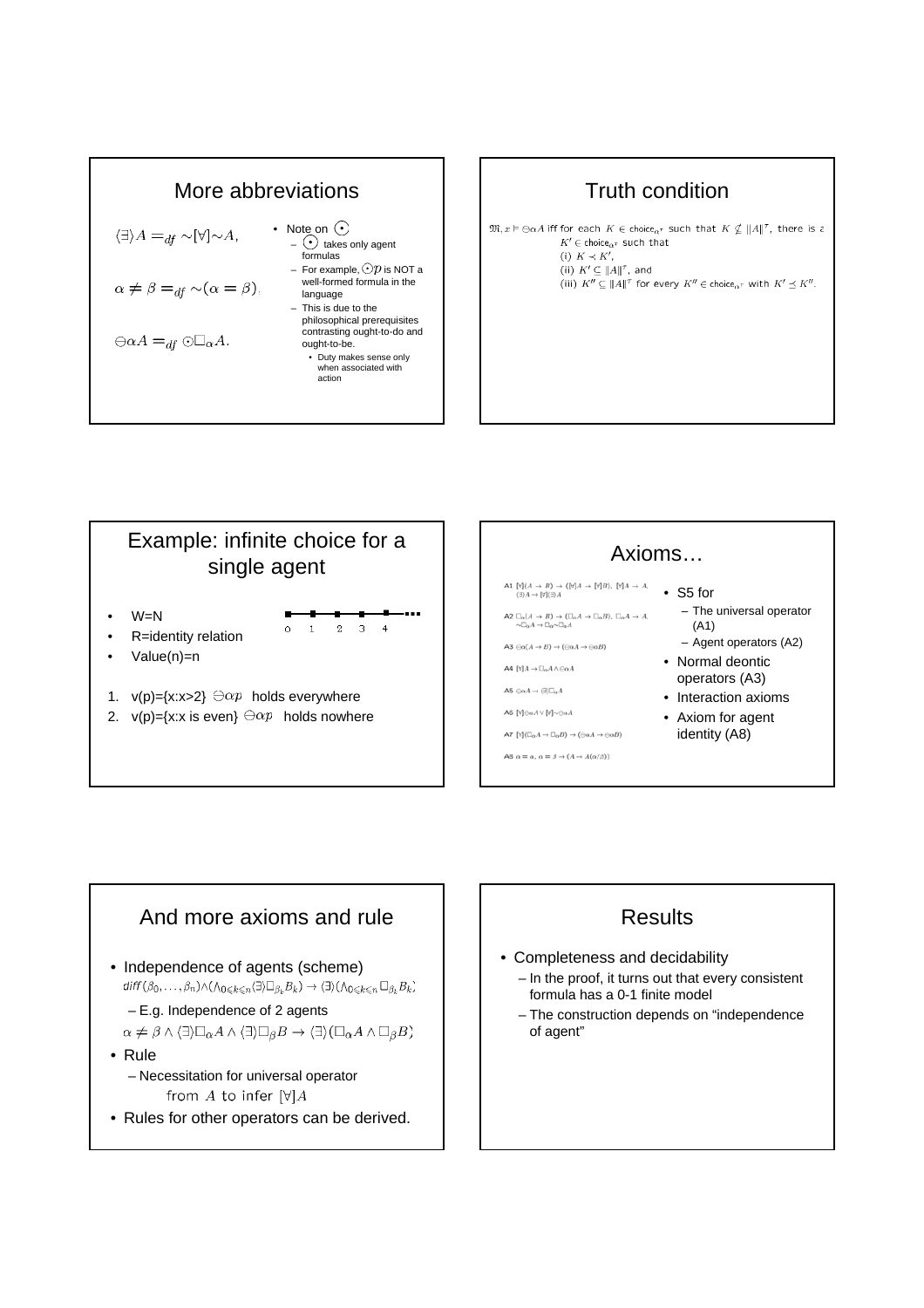

### Truth condition

 $\mathfrak{M}, x \vDash \bigoplus \alpha A$  iff for each  $K \in \text{choice}_{\alpha^{\tau}}$  such that  $K \nsubseteq ||A||^{\tau}$ , there is a  $K' \in \text{choice}_{\alpha^{\tau}}$  such that (i)  $K \prec K'$ , (ii)  $K' \subseteq ||A||^{\tau}$ , and (iii)  $K'' \subseteq ||A||^{\tau}$  for every  $K'' \in \text{choice}_{\alpha^{\tau}}$  with  $K' \preceq K''$ .





![](_page_4_Figure_5.jpeg)

#### **Results**

- Completeness and decidability – In the proof, it turns out that every consistent formula has a 0-1 finite model
	- The construction depends on "independence of agent"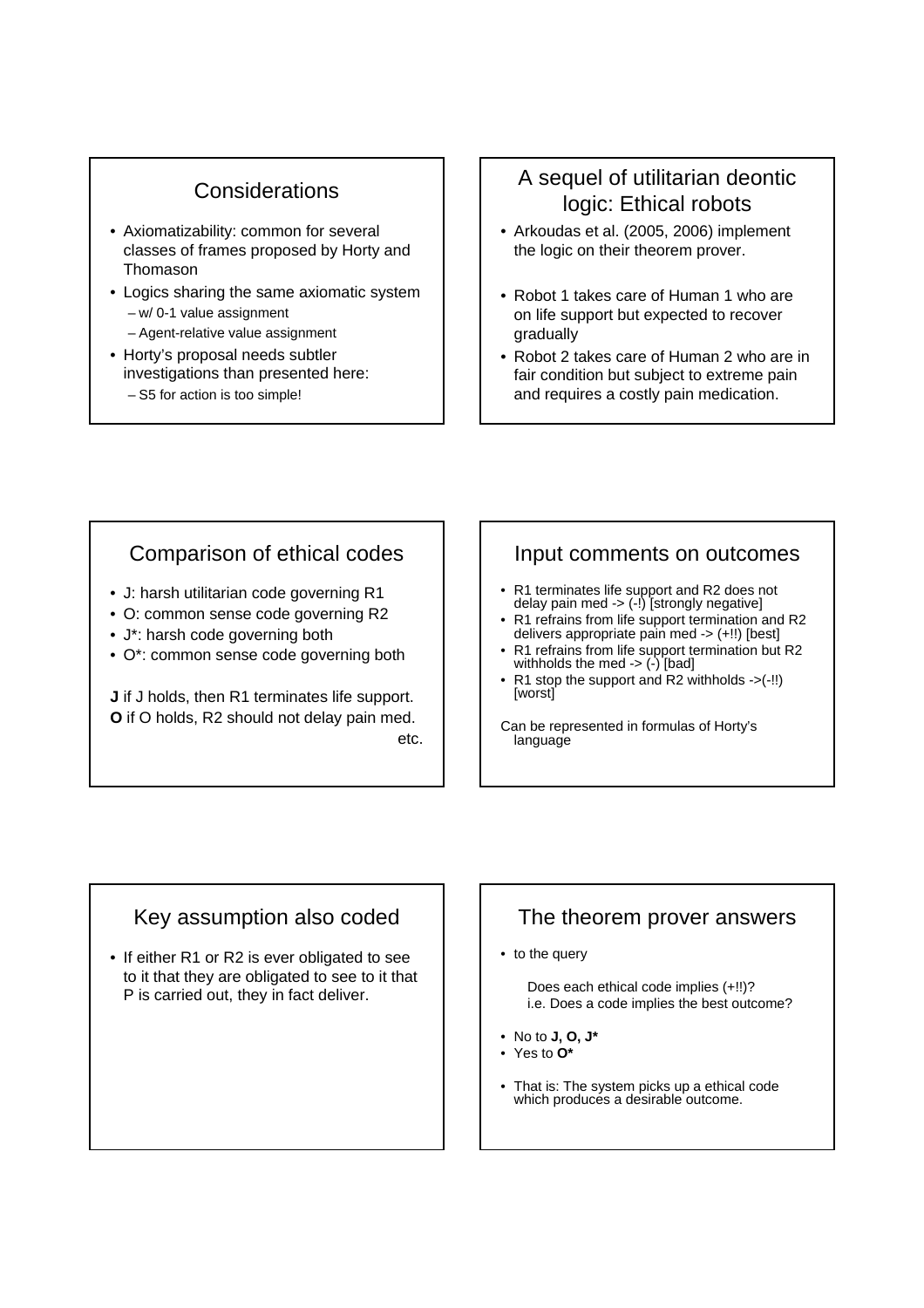### **Considerations**

- Axiomatizability: common for several classes of frames proposed by Horty and Thomason
- Logics sharing the same axiomatic system – w/ 0-1 value assignment – Agent-relative value assignment
	-
- Horty's proposal needs subtler investigations than presented here: – S5 for action is too simple!

### A sequel of utilitarian deontic logic: Ethical robots

- Arkoudas et al. (2005, 2006) implement the logic on their theorem prover.
- Robot 1 takes care of Human 1 who are on life support but expected to recover gradually
- Robot 2 takes care of Human 2 who are in fair condition but subject to extreme pain and requires a costly pain medication.

### Comparison of ethical codes

- J: harsh utilitarian code governing R1
- O: common sense code governing R2
- J\*: harsh code governing both
- O\*: common sense code governing both

**J** if J holds, then R1 terminates life support. **O** if O holds, R2 should not delay pain med. etc.

#### Input comments on outcomes

- R1 terminates life support and R2 does not delay pain med -> (-!) [strongly negative]
- R1 refrains from life support termination and R2 delivers appropriate pain med -> (+!!) [best]
- R1 refrains from life support termination but R2 withholds the med  $\rightarrow$  (-) [bad]
- $R1$  stop the support and R2 withholds  $\rightarrow$  (-!!) [worst]

Can be represented in formulas of Horty's language

### Key assumption also coded

• If either R1 or R2 is ever obligated to see to it that they are obligated to see to it that P is carried out, they in fact deliver.

### The theorem prover answers

• to the query

Does each ethical code implies (+!!)? i.e. Does a code implies the best outcome?

- No to **J, O, J\***
- Yes to **O\***
- That is: The system picks up a ethical code which produces a desirable outcome.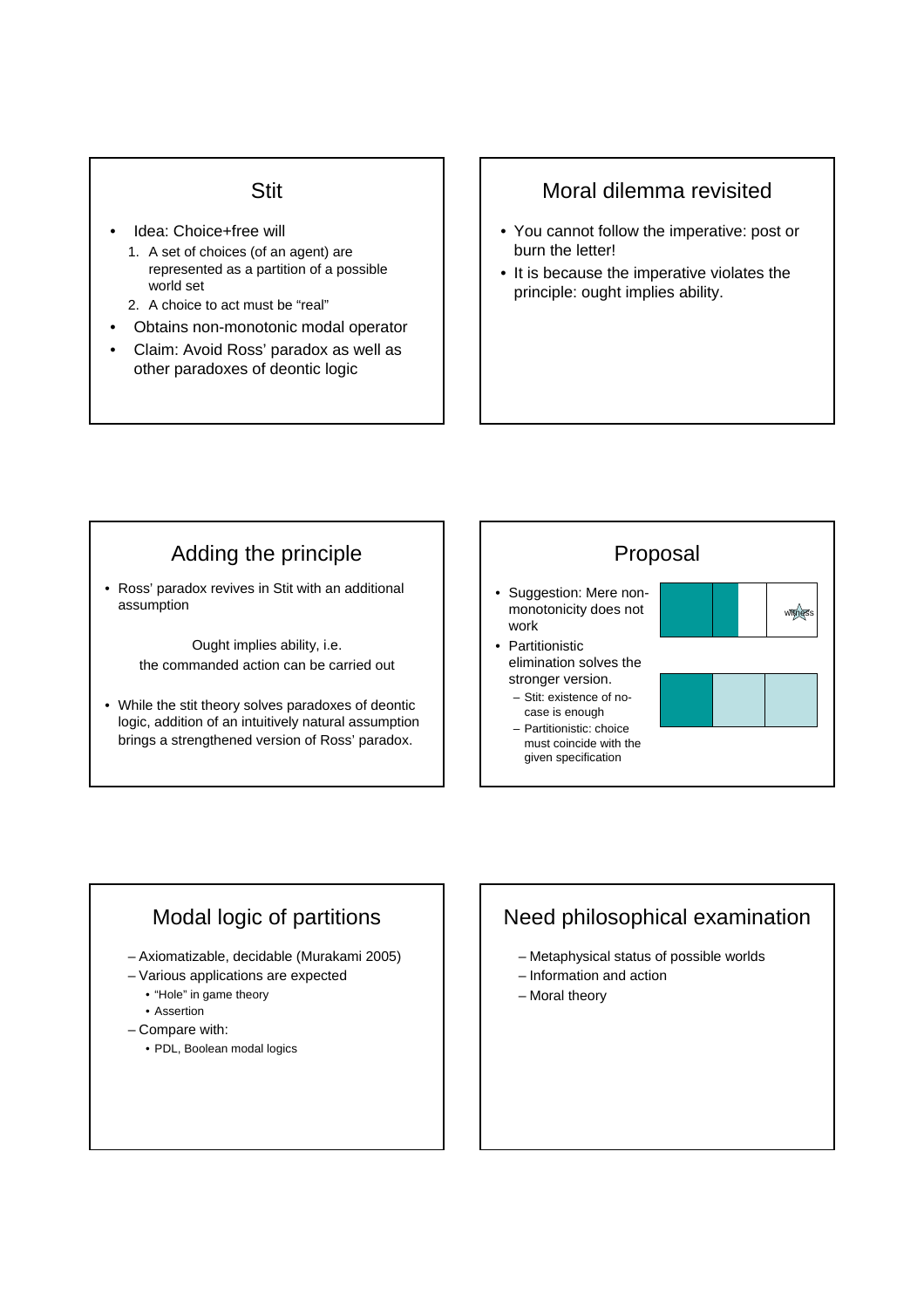#### Stit

- Idea: Choice+free will
	- 1. A set of choices (of an agent) are represented as a partition of a possible world set
	- 2. A choice to act must be "real"
- Obtains non-monotonic modal operator
- Claim: Avoid Ross' paradox as well as other paradoxes of deontic logic

#### Moral dilemma revisited

- You cannot follow the imperative: post or burn the letter!
- It is because the imperative violates the principle: ought implies ability.

# Adding the principle

• Ross' paradox revives in Stit with an additional assumption

> Ought implies ability, i.e. the commanded action can be carried out

• While the stit theory solves paradoxes of deontic logic, addition of an intuitively natural assumption brings a strengthened version of Ross' paradox.

![](_page_6_Figure_13.jpeg)

### Modal logic of partitions

- Axiomatizable, decidable (Murakami 2005)
- Various applications are expected
	- "Hole" in game theory
	- Assertion
- Compare with:
	- PDL, Boolean modal logics

### Need philosophical examination

- Metaphysical status of possible worlds
- Information and action
- Moral theory